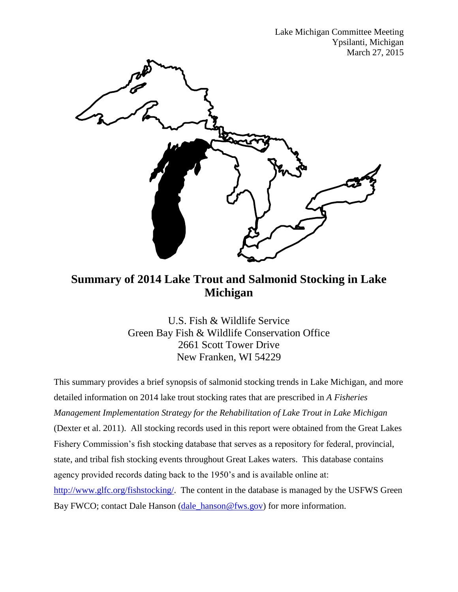Lake Michigan Committee Meeting Ypsilanti, Michigan March 27, 2015



## **Summary of 2014 Lake Trout and Salmonid Stocking in Lake Michigan**

U.S. Fish & Wildlife Service Green Bay Fish & Wildlife Conservation Office 2661 Scott Tower Drive New Franken, WI 54229

This summary provides a brief synopsis of salmonid stocking trends in Lake Michigan, and more detailed information on 2014 lake trout stocking rates that are prescribed in *A Fisheries Management Implementation Strategy for the Rehabilitation of Lake Trout in Lake Michigan* (Dexter et al. 2011). All stocking records used in this report were obtained from the Great Lakes Fishery Commission's fish stocking database that serves as a repository for federal, provincial, state, and tribal fish stocking events throughout Great Lakes waters. This database contains agency provided records dating back to the 1950's and is available online at: [http://www.glfc.org/fishstocking/.](http://www.glfc.org/fishstocking/) The content in the database is managed by the USFWS Green Bay FWCO; contact Dale Hanson [\(dale\\_hanson@fws.gov\)](mailto:dale_hanson@fws.gov) for more information.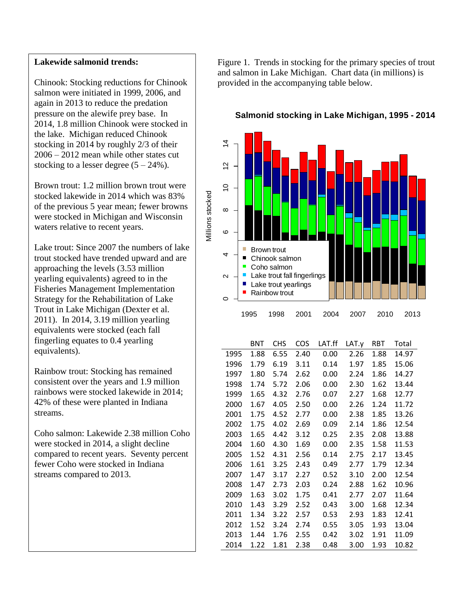## **Lakewide salmonid trends:**

Chinook: Stocking reductions for Chinook salmon were initiated in 1999, 2006, and again in 2013 to reduce the predation pressure on the alewife prey base. In 2014, 1.8 million Chinook were stocked in the lake. Michigan reduced Chinook stocking in 2014 by roughly 2/3 of their 2006 – 2012 mean while other states cut stocking to a lesser degree  $(5 – 24\%)$ .

Brown trout: 1.2 million brown trout were stocked lakewide in 2014 which was 83% of the previous 5 year mean; fewer browns were stocked in Michigan and Wisconsin waters relative to recent years.

Lake trout: Since 2007 the numbers of lake trout stocked have trended upward and are approaching the levels (3.53 million yearling equivalents) agreed to in the Fisheries Management Implementation Strategy for the Rehabilitation of Lake Trout in Lake Michigan (Dexter et al. 2011). In 2014, 3.19 million yearling equivalents were stocked (each fall fingerling equates to 0.4 yearling equivalents).

Rainbow trout: Stocking has remained consistent over the years and 1.9 million rainbows were stocked lakewide in 2014; 42% of these were planted in Indiana streams.

Coho salmon: Lakewide 2.38 million Coho were stocked in 2014, a slight decline compared to recent years. Seventy percent fewer Coho were stocked in Indiana streams compared to 2013.

Figure 1. Trends in stocking for the primary species of trout and salmon in Lake Michigan. Chart data (in millions) is provided in the accompanying table below.



## **Salmonid stocking in Lake Michigan, 1995 - 2014**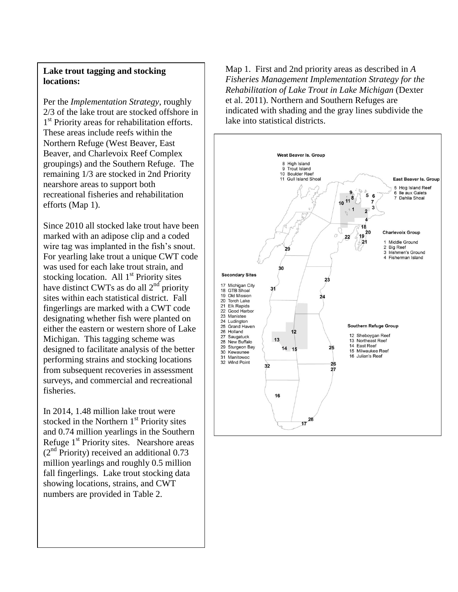## **Lake trout tagging and stocking locations:**

Per the *Implementation Strategy*, roughly 2/3 of the lake trout are stocked offshore in 1<sup>st</sup> Priority areas for rehabilitation efforts. These areas include reefs within the Northern Refuge (West Beaver, East Beaver, and Charlevoix Reef Complex groupings) and the Southern Refuge. The remaining 1/3 are stocked in 2nd Priority nearshore areas to support both recreational fisheries and rehabilitation efforts (Map 1).

Since 2010 all stocked lake trout have been marked with an adipose clip and a coded wire tag was implanted in the fish's snout. For yearling lake trout a unique CWT code was used for each lake trout strain, and stocking location. All  $1<sup>st</sup>$  Priority sites have distinct CWTs as do all  $2<sup>nd</sup>$  priority sites within each statistical district. Fall fingerlings are marked with a CWT code designating whether fish were planted on either the eastern or western shore of Lake Michigan. This tagging scheme was designed to facilitate analysis of the better performing strains and stocking locations from subsequent recoveries in assessment surveys, and commercial and recreational fisheries.

In 2014, 1.48 million lake trout were stocked in the Northern  $1<sup>st</sup>$  Priority sites and 0.74 million yearlings in the Southern Refuge 1<sup>st</sup> Priority sites. Nearshore areas  $(2<sup>nd</sup>$  Priority) received an additional 0.73 million yearlings and roughly 0.5 million fall fingerlings. Lake trout stocking data showing locations, strains, and CWT numbers are provided in Table 2.

Map 1. First and 2nd priority areas as described in *A Fisheries Management Implementation Strategy for the Rehabilitation of Lake Trout in Lake Michigan* (Dexter et al. 2011). Northern and Southern Refuges are indicated with shading and the gray lines subdivide the lake into statistical districts.

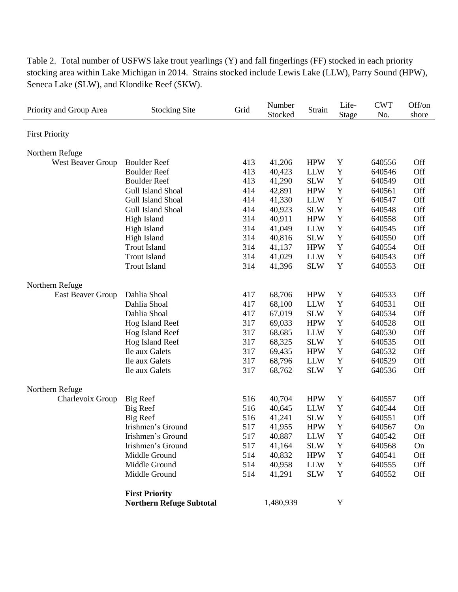| Priority and Group Area | <b>Stocking Site</b>            | Grid | Number<br>Stocked | Strain     | Life-<br><b>Stage</b> | <b>CWT</b><br>No. | Off/on<br>shore |
|-------------------------|---------------------------------|------|-------------------|------------|-----------------------|-------------------|-----------------|
| <b>First Priority</b>   |                                 |      |                   |            |                       |                   |                 |
| Northern Refuge         |                                 |      |                   |            |                       |                   |                 |
| West Beaver Group       | <b>Boulder Reef</b>             | 413  | 41,206            | <b>HPW</b> | Y                     | 640556            | Off             |
|                         | <b>Boulder Reef</b>             | 413  | 40,423            | <b>LLW</b> | Y                     | 640546            | Off             |
|                         | <b>Boulder Reef</b>             | 413  | 41,290            | <b>SLW</b> | Y                     | 640549            | Off             |
|                         | Gull Island Shoal               | 414  | 42,891            | <b>HPW</b> | Y                     | 640561            | Off             |
|                         | Gull Island Shoal               | 414  | 41,330            | <b>LLW</b> | $\mathbf Y$           | 640547            | Off             |
|                         | Gull Island Shoal               | 414  | 40,923            | <b>SLW</b> | $\mathbf Y$           | 640548            | Off             |
|                         | High Island                     | 314  | 40,911            | <b>HPW</b> | $\mathbf Y$           | 640558            | Off             |
|                         | High Island                     | 314  | 41,049            | <b>LLW</b> | $\mathbf Y$           | 640545            | Off             |
|                         | High Island                     | 314  | 40,816            | <b>SLW</b> | Y                     | 640550            | Off             |
|                         | <b>Trout Island</b>             | 314  | 41,137            | <b>HPW</b> | Y                     | 640554            | Off             |
|                         | <b>Trout Island</b>             | 314  | 41,029            | <b>LLW</b> | Y                     | 640543            | Off             |
|                         | <b>Trout Island</b>             | 314  | 41,396            | <b>SLW</b> | Y                     | 640553            | Off             |
| Northern Refuge         |                                 |      |                   |            |                       |                   |                 |
| East Beaver Group       | Dahlia Shoal                    | 417  | 68,706            | <b>HPW</b> | Y                     | 640533            | Off             |
|                         | Dahlia Shoal                    | 417  | 68,100            | <b>LLW</b> | Y                     | 640531            | Off             |
|                         | Dahlia Shoal                    | 417  | 67,019            | <b>SLW</b> | $\mathbf Y$           | 640534            | Off             |
|                         | Hog Island Reef                 | 317  | 69,033            | <b>HPW</b> | Y                     | 640528            | Off             |
|                         | Hog Island Reef                 | 317  | 68,685            | <b>LLW</b> | Y                     | 640530            | Off             |
|                         | Hog Island Reef                 | 317  | 68,325            | <b>SLW</b> | Y                     | 640535            | Off             |
|                         | Ile aux Galets                  | 317  | 69,435            | <b>HPW</b> | Y                     | 640532            | Off             |
|                         | Ile aux Galets                  | 317  | 68,796            | <b>LLW</b> | $\mathbf Y$           | 640529            | Off             |
|                         | Ile aux Galets                  | 317  | 68,762            | <b>SLW</b> | Y                     | 640536            | Off             |
| Northern Refuge         |                                 |      |                   |            |                       |                   |                 |
| Charlevoix Group        | Big Reef                        | 516  | 40,704            | <b>HPW</b> | Y                     | 640557            | Off             |
|                         | Big Reef                        | 516  | 40,645            | <b>LLW</b> | Y                     | 640544            | Off             |
|                         | <b>Big Reef</b>                 | 516  | 41,241            | <b>SLW</b> | Y                     | 640551            | Off             |
|                         | Irishmen's Ground               | 517  | 41,955            | <b>HPW</b> | Y                     | 640567            | On              |
|                         | Irishmen's Ground               | 517  | 40,887            | <b>LLW</b> | $\mathbf Y$           | 640542            | Off             |
|                         | Irishmen's Ground               | 517  | 41,164            | <b>SLW</b> | Y                     | 640568            | On              |
|                         | Middle Ground                   | 514  | 40,832            | <b>HPW</b> | Y                     | 640541            | Off             |
|                         | Middle Ground                   | 514  | 40,958            | <b>LLW</b> | Y                     | 640555            | Off             |
|                         | Middle Ground                   | 514  | 41,291            | <b>SLW</b> | Y                     | 640552            | Off             |
|                         | <b>First Priority</b>           |      |                   |            |                       |                   |                 |
|                         | <b>Northern Refuge Subtotal</b> |      | 1,480,939         |            | Y                     |                   |                 |

Table 2. Total number of USFWS lake trout yearlings (Y) and fall fingerlings (FF) stocked in each priority stocking area within Lake Michigan in 2014. Strains stocked include Lewis Lake (LLW), Parry Sound (HPW), Seneca Lake (SLW), and Klondike Reef (SKW).